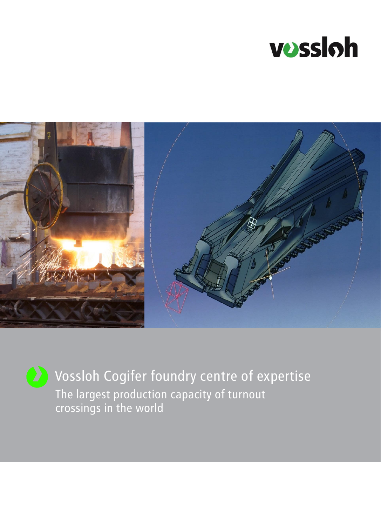



Vossloh Cogifer foundry centre of expertise The largest production capacity of turnout crossings in the world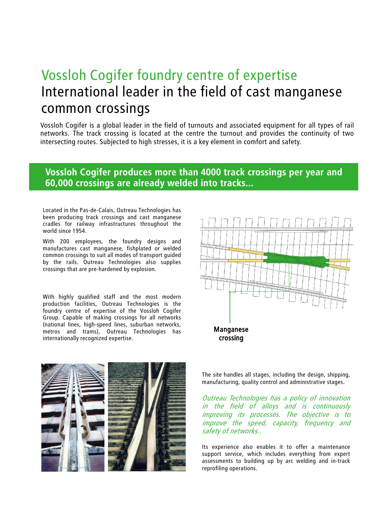# Vossloh Cogifer foundry centre of expertise International leader in the field of cast manganese common crossings

Vossloh Cogifer is a global leader in the field of turnouts and associated equipment for all types of rail networks. The track crossing is located at the centre the turnout and provides the continuity of two intersecting routes. Subjected to high stresses, it is a key element in comfort and safety.

## **Vossloh Cogifer produces more than 4000 track crossings per year and 60,000 crossings are already welded into tracks...**

Located in the Pas-de-Calais, Outreau Technologies has been producing track crossings and cast manganese cradles for railway infrastructures throughout the world since 1954.

With 200 employees, the foundry designs and manufactures cast manganese, fishplated or welded common crossings to suit all modes of transport guided by the rails. Outreau Technologies also supplies crossings that are pre-hardened by explosion.

With highly qualified staff and the most modern production facilities, Outreau Technologies is the foundry centre of expertise of the Vossloh Cogifer Group. Capable of making crossings for all networks (national lines, high-speed lines, suburban networks, metros and trams), Outreau Technologies has internationally recognized expertise.





The site handles all stages, including the design, shipping, manufacturing, quality control and administrative stages.

Outreau Technologies has <sup>a</sup> policy of innovation in the field of alloys and is continuously improving its processes. The objective is to improve the speed, capacity, frequency and safety of networks..

Its experience also enables it to offer a maintenance support service, which includes everything from expert assessments to building up by arc welding and in-track reprofiling operations.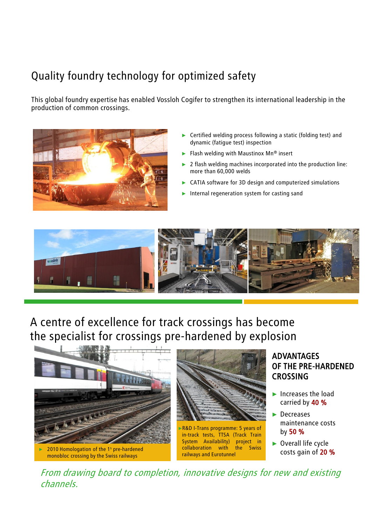# Quality foundry technology for optimized safety

This global foundry expertise has enabled Vossloh Cogifer to strengthen its international leadership in the production of common crossings.



- ► Certified welding process following a static (folding test) and dynamic (fatigue test) inspection
- Flash welding with Maustinox  $Mn^{\circledast}$  insert
- ► 2 flash welding machines incorporated into the production line: more than 60,000 welds
- CATIA software for 3D design and computerized simulations
- Internal regeneration system for casting sand



A centre of excellence for track crossings has become the specialist for crossings pre-hardened by explosion





►R&D I-Trans programme: 5 years of in-track tests, TTSA (Track Train System Availability) project in collaboration with the Swiss railways and Eurotunnel

### ADVANTAGES OF THE PRE-HARDENED CROSSING

- ► Increases the load carried by 40 %
- ► Decreases maintenance costs by 50 %
- ► Overall life cycle costs gain of 20 %

From drawing board to completion, innovative designs for new and existing channels.